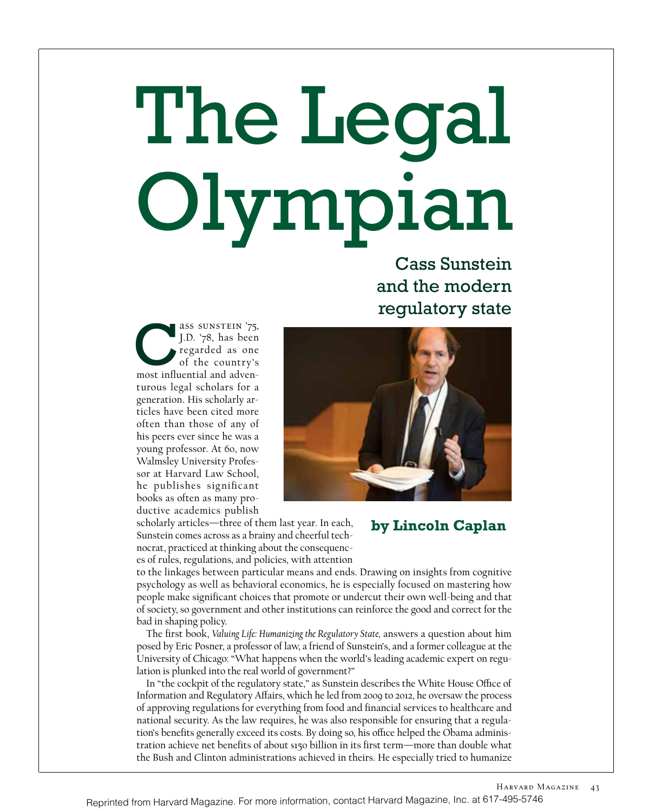# The Legal Olympian

Cass Sunstein<br>and the modern<br>regulatory state and the modern regulatory state

ass Sunstein '75, J.D. '78, has been regarded as one of the country's SID. '78, has been<br>
J.D. '78, has been<br>
regarded as one<br>
of the country's<br>
most influential and adventurous legal scholars for a generation. His scholarly articles have been cited more often than those of any of his peers ever since he was a young professor. At 60, now Walmsley University Professor at Harvard Law School, he publishes significant books as often as many productive academics publish



scholarly articles—three of them last year. In each, Sunstein comes across as a brainy and cheerful technocrat, practiced at thinking about the consequences of rules, regulations, and policies, with attention

# **by Lincoln Caplan**

to the linkages between particular means and ends. Drawing on insights from cognitive psychology as well as behavioral economics, he is especially focused on mastering how people make significant choices that promote or undercut their own well-being and that of society, so government and other institutions can reinforce the good and correct for the bad in shaping policy.

The first book, *Valuing Life: Humanizing the Regulatory State,* answers a question about him posed by Eric Posner, a professor of law, a friend of Sunstein's, and a former colleague at the University of Chicago: "What happens when the world's leading academic expert on regulation is plunked into the real world of government?"

In "the cockpit of the regulatory state," as Sunstein describes the White House Office of Information and Regulatory Affairs, which he led from 2009 to 2012, he oversaw the process of approving regulations for everything from food and financial services to healthcare and national security. As the law requires, he was also responsible for ensuring that a regulation's benefits generally exceed its costs. By doing so, his office helped the Obama administration achieve net benefits of about \$150 billion in its first term—more than double what the Bush and Clinton administrations achieved in theirs. He especially tried to humanize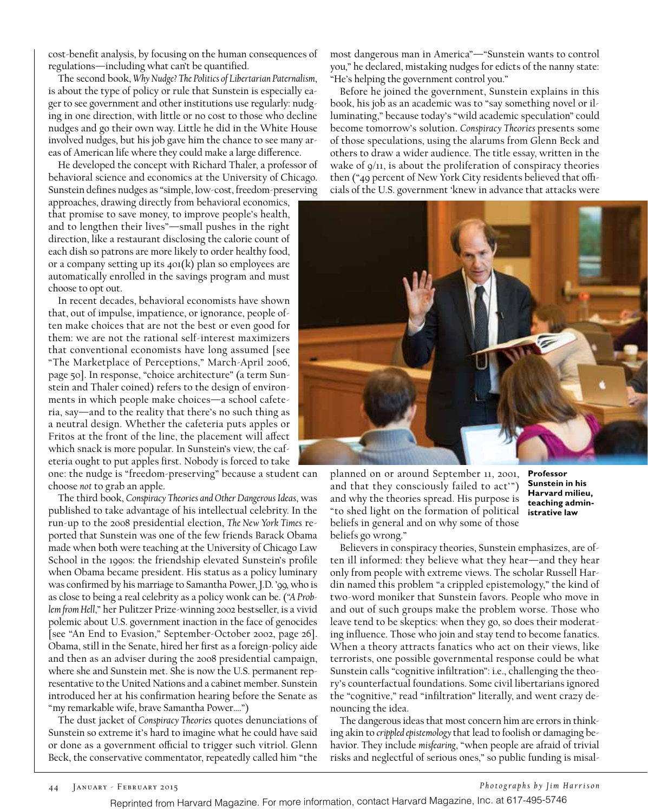cost-benefit analysis, by focusing on the human consequences of regulations—including what can't be quantified.

The second book, *Why Nudge? The Politics of Libertarian Paternalism*, is about the type of policy or rule that Sunstein is especially eager to see government and other institutions use regularly: nudging in one direction, with little or no cost to those who decline nudges and go their own way. Little he did in the White House involved nudges, but his job gave him the chance to see many areas of American life where they could make a large difference.

He developed the concept with Richard Thaler, a professor of behavioral science and economics at the University of Chicago. Sunstein defines nudges as "simple, low-cost, freedom-preserving

approaches, drawing directly from behavioral economics, that promise to save money, to improve people's health, and to lengthen their lives"—small pushes in the right direction, like a restaurant disclosing the calorie count of each dish so patrons are more likely to order healthy food, or a company setting up its 401(k) plan so employees are automatically enrolled in the savings program and must choose to opt out.

In recent decades, behavioral economists have shown that, out of impulse, impatience, or ignorance, people often make choices that are not the best or even good for them: we are not the rational self-interest maximizers that conventional economists have long assumed [see "The Marketplace of Perceptions," March-April 2006, page 50]. In response, "choice architecture" (a term Sunstein and Thaler coined) refers to the design of environments in which people make choices—a school cafeteria, say—and to the reality that there's no such thing as a neutral design. Whether the cafeteria puts apples or Fritos at the front of the line, the placement will affect which snack is more popular. In Sunstein's view, the cafeteria ought to put apples first. Nobody is forced to take

one: the nudge is "freedom-preserving" because a student can choose *not* to grab an apple.

The third book, *Conspiracy Theories and Other Dangerous Ideas*, was published to take advantage of his intellectual celebrity. In the run-up to the 2008 presidential election, *The New York Times* reported that Sunstein was one of the few friends Barack Obama made when both were teaching at the University of Chicago Law School in the 1990s: the friendship elevated Sunstein's profile when Obama became president. His status as a policy luminary was confirmed by his marriage to Samantha Power, J.D. '99, who is as close to being a real celebrity as a policy wonk can be. (*"A Problem from Hell*," her Pulitzer Prize-winning 2002 bestseller, is a vivid polemic about U.S. government inaction in the face of genocides [see "An End to Evasion," September-October 2002, page 26]. Obama, still in the Senate, hired her first as a foreign-policy aide and then as an adviser during the 2008 presidential campaign, where she and Sunstein met. She is now the U.S. permanent representative to the United Nations and a cabinet member. Sunstein introduced her at his confirmation hearing before the Senate as "my remarkable wife, brave Samantha Power….")

The dust jacket of *Conspiracy Theories* quotes denunciations of Sunstein so extreme it's hard to imagine what he could have said or done as a government official to trigger such vitriol. Glenn Beck, the conservative commentator, repeatedly called him "the

most dangerous man in America"—"Sunstein wants to control you," he declared, mistaking nudges for edicts of the nanny state: "He's helping the government control you."

Before he joined the government, Sunstein explains in this book, his job as an academic was to "say something novel or illuminating," because today's "wild academic speculation" could become tomorrow's solution. *Conspiracy Theories* presents some of those speculations, using the alarums from Glenn Beck and others to draw a wider audience. The title essay, written in the wake of 9/11, is about the proliferation of conspiracy theories then ("49 percent of New York City residents believed that officials of the U.S. government 'knew in advance that attacks were



planned on or around September 11, 2001, and that they consciously failed to act'") and why the theories spread. His purpose is "to shed light on the formation of political beliefs in general and on why some of those beliefs go wrong."

**Professor Sunstein in his Harvard milieu, teaching administrative law**

Believers in conspiracy theories, Sunstein emphasizes, are often ill informed: they believe what they hear—and they hear only from people with extreme views. The scholar Russell Hardin named this problem "a crippled epistemology," the kind of two-word moniker that Sunstein favors. People who move in and out of such groups make the problem worse. Those who leave tend to be skeptics: when they go, so does their moderating influence. Those who join and stay tend to become fanatics. When a theory attracts fanatics who act on their views, like terrorists, one possible governmental response could be what Sunstein calls "cognitive infiltration": i.e., challenging the theory's counterfactual foundations. Some civil libertarians ignored the "cognitive," read "infiltration" literally, and went crazy denouncing the idea.

The dangerous ideas that most concern him are errors in thinking akin to *crippled epistemology* that lead to foolish or damaging behavior. They include *misfearing*, "when people are afraid of trivial risks and neglectful of serious ones," so public funding is misal-

Reprinted from Harvard Magazine. For more information, contact Harvard Magazine, Inc. at 617-495-5746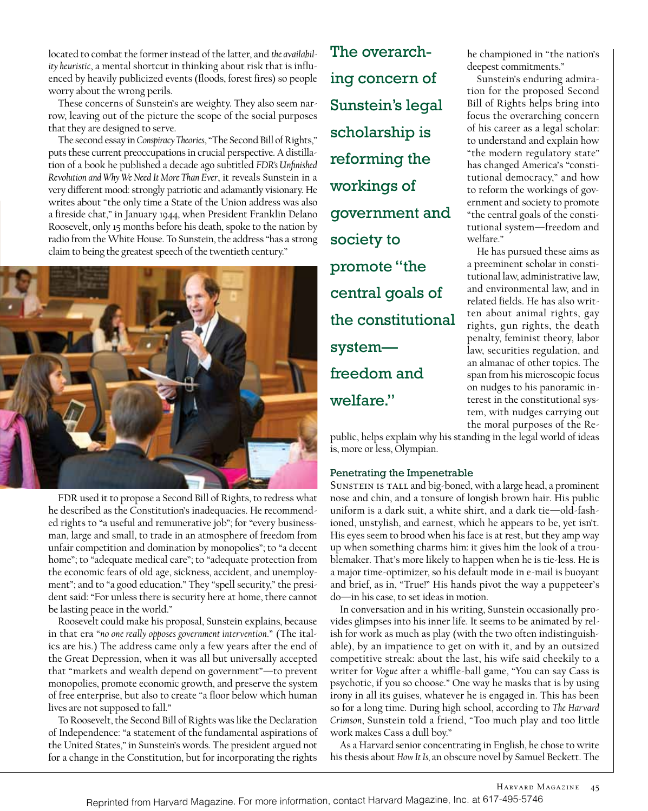located to combat the former instead of the latter, and *the availability heuristic*, a mental shortcut in thinking about risk that is influenced by heavily publicized events (floods, forest fires) so people worry about the wrong perils.

These concerns of Sunstein's are weighty. They also seem narrow, leaving out of the picture the scope of the social purposes that they are designed to serve.

The second essay in *Conspiracy Theories*, "The Second Bill of Rights," puts these current preoccupations in crucial perspective. A distillation of a book he published a decade ago subtitled *FDR's Unfinished Revolution and Why We Need It More Than Ever*, it reveals Sunstein in a very different mood: strongly patriotic and adamantly visionary. He writes about "the only time a State of the Union address was also a fireside chat," in January 1944, when President Franklin Delano Roosevelt, only 15 months before his death, spoke to the nation by radio from the White House. To Sunstein, the address "has a strong claim to being the greatest speech of the twentieth century."



FDR used it to propose a Second Bill of Rights, to redress what he described as the Constitution's inadequacies. He recommended rights to "a useful and remunerative job"; for "every businessman, large and small, to trade in an atmosphere of freedom from unfair competition and domination by monopolies"; to "a decent home"; to "adequate medical care"; to "adequate protection from the economic fears of old age, sickness, accident, and unemployment"; and to "a good education." They "spell security," the president said: "For unless there is security here at home, there cannot be lasting peace in the world."

Roosevelt could make his proposal, Sunstein explains, because in that era "*no one really opposes government intervention*." (The italics are his.) The address came only a few years after the end of the Great Depression, when it was all but universally accepted that "markets and wealth depend on government"—to prevent monopolies, promote economic growth, and preserve the system of free enterprise, but also to create "a floor below which human lives are not supposed to fall."

To Roosevelt, the Second Bill of Rights was like the Declaration of Independence: "a statement of the fundamental aspirations of the United States," in Sunstein's words. The president argued not for a change in the Constitution, but for incorporating the rights

The overarching concern of Sunstein's legal scholarship is reforming the workings of government and society to promote "the central goals of the constitutional system freedom and welfare."

he championed in "the nation's deepest commitments."

Sunstein's enduring admiration for the proposed Second Bill of Rights helps bring into focus the overarching concern of his career as a legal scholar: to understand and explain how "the modern regulatory state" has changed America's "constitutional democracy," and how to reform the workings of government and society to promote "the central goals of the constitutional system—freedom and welfare."

He has pursued these aims as a preeminent scholar in constitutional law, administrative law, and environmental law, and in related fields. He has also written about animal rights, gay rights, gun rights, the death penalty, feminist theory, labor law, securities regulation, and an almanac of other topics. The span from his microscopic focus on nudges to his panoramic interest in the constitutional system, with nudges carrying out the moral purposes of the Re-

public, helps explain why his standing in the legal world of ideas is, more or less, Olympian.

## Penetrating the Impenetrable

SUNSTEIN IS TALL and big-boned, with a large head, a prominent nose and chin, and a tonsure of longish brown hair. His public uniform is a dark suit, a white shirt, and a dark tie—old-fashioned, unstylish, and earnest, which he appears to be, yet isn't. His eyes seem to brood when his face is at rest, but they amp way up when something charms him: it gives him the look of a troublemaker. That's more likely to happen when he is tie-less. He is a major time-optimizer, so his default mode in e-mail is buoyant and brief, as in, "True!" His hands pivot the way a puppeteer's do—in his case, to set ideas in motion.

In conversation and in his writing, Sunstein occasionally provides glimpses into his inner life. It seems to be animated by relish for work as much as play (with the two often indistinguishable), by an impatience to get on with it, and by an outsized competitive streak: about the last, his wife said cheekily to a writer for *Vogue* after a whiffle-ball game, "You can say Cass is psychotic, if you so choose." One way he masks that is by using irony in all its guises, whatever he is engaged in. This has been so for a long time. During high school, according to *The Harvard Crimson*, Sunstein told a friend, "Too much play and too little work makes Cass a dull boy."

As a Harvard senior concentrating in English, he chose to write his thesis about *How It Is,* an obscure novel by Samuel Beckett. The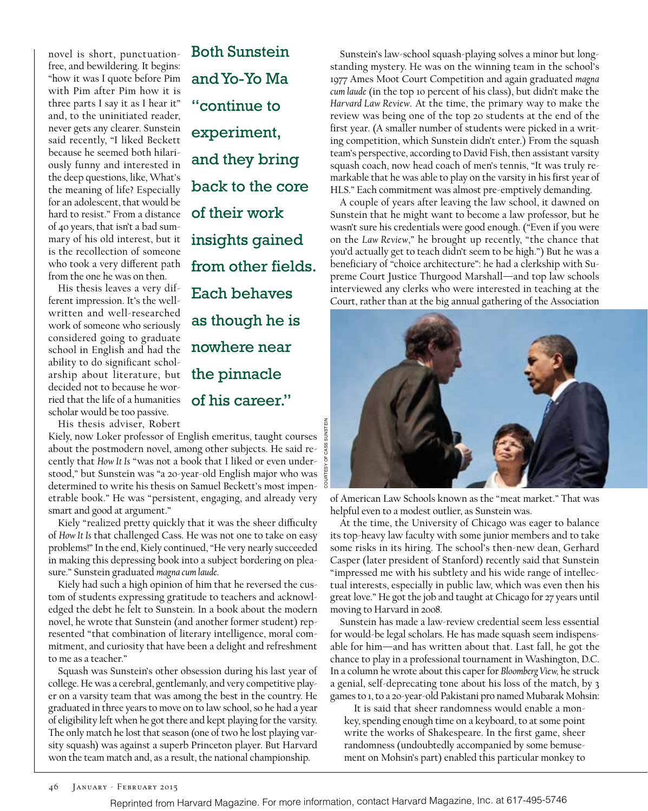novel is short, punctuationfree, and bewildering. It begins: "how it was I quote before Pim with Pim after Pim how it is three parts I say it as I hear it" and, to the uninitiated reader, never gets any clearer. Sunstein said recently, "I liked Beckett because he seemed both hilariously funny and interested in the deep questions, like, What's the meaning of life? Especially for an adolescent, that would be hard to resist." From a distance of 40 years, that isn't a bad summary of his old interest, but it is the recollection of someone who took a very different path from the one he was on then.

His thesis leaves a very different impression. It's the wellwritten and well-researched work of someone who seriously considered going to graduate school in English and had the ability to do significant scholarship about literature, but decided not to because he worried that the life of a humanities scholar would be too passive.

and Yo-Yo Ma "continue to experiment, and they bring back to the core of their work insights gained from other fields. Each behaves as though he is nowhere near the pinnacle of his career."

Both Sunstein

His thesis adviser, Robert

Kiely, now Loker professor of English emeritus, taught courses about the postmodern novel, among other subjects. He said recently that *How It Is* "was not a book that I liked or even understood," but Sunstein was "a 20-year-old English major who was determined to write his thesis on Samuel Beckett's most impenetrable book." He was "persistent, engaging, and already very smart and good at argument."

Kiely "realized pretty quickly that it was the sheer difficulty of *How It Is* that challenged Cass. He was not one to take on easy problems!" In the end, Kiely continued, "He very nearly succeeded in making this depressing book into a subject bordering on pleasure." Sunstein graduated *magna cum laude*.

Kiely had such a high opinion of him that he reversed the custom of students expressing gratitude to teachers and acknowledged the debt he felt to Sunstein. In a book about the modern novel, he wrote that Sunstein (and another former student) represented "that combination of literary intelligence, moral commitment, and curiosity that have been a delight and refreshment to me as a teacher."

Squash was Sunstein's other obsession during his last year of college. He was a cerebral, gentlemanly, and very competitive player on a varsity team that was among the best in the country. He graduated in three years to move on to law school, so he had a year of eligibility left when he got there and kept playing for the varsity. The only match he lost that season (one of two he lost playing varsity squash) was against a superb Princeton player. But Harvard won the team match and, as a result, the national championship.

Sunstein's law-school squash-playing solves a minor but longstanding mystery. He was on the winning team in the school's 1977 Ames Moot Court Competition and again graduated *magna cum laude* (in the top 10 percent of his class), but didn't make the *Harvard Law Review*. At the time, the primary way to make the review was being one of the top 20 students at the end of the first year. (A smaller number of students were picked in a writing competition, which Sunstein didn't enter.) From the squash team's perspective, according to David Fish, then assistant varsity squash coach, now head coach of men's tennis, "It was truly remarkable that he was able to play on the varsity in his first year of HLS." Each commitment was almost pre-emptively demanding.

A couple of years after leaving the law school, it dawned on Sunstein that he might want to become a law professor, but he wasn't sure his credentials were good enough. ("Even if you were on the *Law Review*," he brought up recently, "the chance that you'd actually get to teach didn't seem to be high.") But he was a beneficiary of "choice architecture": he had a clerkship with Supreme Court Justice Thurgood Marshall—and top law schools interviewed any clerks who were interested in teaching at the Court, rather than at the big annual gathering of the Association



of American Law Schools known as the "meat market." That was helpful even to a modest outlier, as Sunstein was.

At the time, the University of Chicago was eager to balance its top-heavy law faculty with some junior members and to take some risks in its hiring. The school's then-new dean, Gerhard Casper (later president of Stanford) recently said that Sunstein "impressed me with his subtlety and his wide range of intellectual interests, especially in public law, which was even then his great love." He got the job and taught at Chicago for 27 years until moving to Harvard in 2008.

Sunstein has made a law-review credential seem less essential for would-be legal scholars. He has made squash seem indispensable for him—and has written about that. Last fall, he got the chance to play in a professional tournament in Washington, D.C. In a column he wrote about this caper for *Bloomberg View,* he struck a genial, self-deprecating tone about his loss of the match, by 3 games to 1, to a 20-year-old Pakistani pro named Mubarak Mohsin:

It is said that sheer randomness would enable a monkey, spending enough time on a keyboard, to at some point write the works of Shakespeare. In the first game, sheer randomness (undoubtedly accompanied by some bemusement on Mohsin's part) enabled this particular monkey to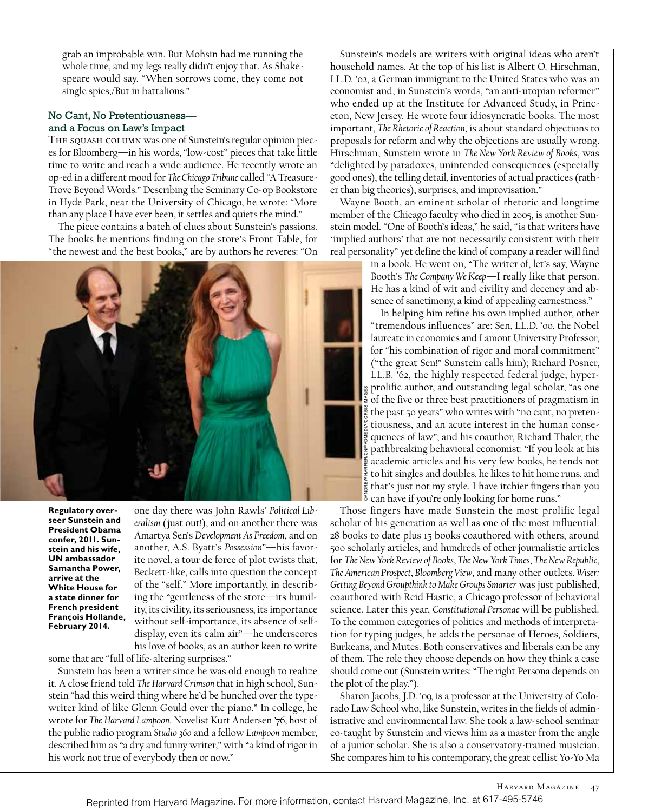grab an improbable win. But Mohsin had me running the whole time, and my legs really didn't enjoy that. As Shakespeare would say, "When sorrows come, they come not single spies,/But in battalions."

### No Cant, No Pretentiousness and a Focus on Law's Impact

THE SQUASH COLUMN was one of Sunstein's regular opinion pieces for Bloomberg—in his words, "low-cost" pieces that take little time to write and reach a wide audience. He recently wrote an op-ed in a different mood for *The Chicago Tribune* called "A Treasure-Trove Beyond Words." Describing the Seminary Co-op Bookstore in Hyde Park, near the University of Chicago, he wrote: "More than any place I have ever been, it settles and quiets the mind."

The piece contains a batch of clues about Sunstein's passions. The books he mentions finding on the store's Front Table, for "the newest and the best books," are by authors he reveres: "On



**Regulatory overseer Sunstein and President Obama confer, 2011. Sunstein and his wife, UN ambassador Samantha Power, arrive at the White House for a state dinner for French president François Hollande, February 2014.**

one day there was John Rawls' *Political Liberalism* (just out!), and on another there was Amartya Sen's *Development As Freedom*, and on another, A.S. Byatt's *Possession*"—his favorite novel, a tour de force of plot twists that, Beckett-like, calls into question the concept of the "self." More importantly, in describing the "gentleness of the store—its humility, its civility, its seriousness, its importance without self-importance, its absence of selfdisplay, even its calm air"—he underscores his love of books, as an author keen to write

some that are "full of life-altering surprises."

Sunstein has been a writer since he was old enough to realize it. A close friend told *The Harvard Crimson* that in high school, Sunstein "had this weird thing where he'd be hunched over the typewriter kind of like Glenn Gould over the piano." In college, he wrote for *The Harvard Lampoon*. Novelist Kurt Andersen '76, host of the public radio program *Studio 360* and a fellow *Lampoon* member, described him as "a dry and funny writer," with "a kind of rigor in his work not true of everybody then or now."

Sunstein's models are writers with original ideas who aren't household names. At the top of his list is Albert O. Hirschman, LL.D. '02, a German immigrant to the United States who was an economist and, in Sunstein's words, "an anti-utopian reformer" who ended up at the Institute for Advanced Study, in Princeton, New Jersey. He wrote four idiosyncratic books. The most important, *The Rhetoric of Reaction*, is about standard objections to proposals for reform and why the objections are usually wrong. Hirschman, Sunstein wrote in *The New York Review of Books*, was "delighted by paradoxes, unintended consequences (especially good ones), the telling detail, inventories of actual practices (rather than big theories), surprises, and improvisation."

Wayne Booth, an eminent scholar of rhetoric and longtime member of the Chicago faculty who died in 2005, is another Sunstein model. "One of Booth's ideas," he said, "is that writers have 'implied authors' that are not necessarily consistent with their real personality" yet define the kind of company a reader will find

> in a book. He went on, "The writer of, let's say, Wayne Booth's *The Company We Keep*—I really like that person. He has a kind of wit and civility and decency and absence of sanctimony, a kind of appealing earnestness."

> In helping him refine his own implied author, other "tremendous influences" are: Sen, LL.D. '00, the Nobel laureate in economics and Lamont University Professor, for "his combination of rigor and moral commitment" ("the great Sen!" Sunstein calls him); Richard Posner, LL.B. '62, the highly respected federal judge, hyperprolific author, and outstanding legal scholar, "as one of the five or three best practitioners of pragmatism in the past 50 years" who writes with "no cant, no pretentiousness, and an acute interest in the human consequences of law"; and his coauthor, Richard Thaler, the pathbreaking behavioral economist: "If you look at his academic articles and his very few books, he tends not to hit singles and doubles, he likes to hit home runs, and that's just not my style. I have itchier fingers than you can have if you're only looking for home runs."

Those fingers have made Sunstein the most prolific legal scholar of his generation as well as one of the most influential: 28 books to date plus 15 books coauthored with others, around 500 scholarly articles, and hundreds of other journalistic articles for *The New York Review of Books*, *The New York Times*, *The New Republic*, *The American Prospect*, *Bloomberg View*, and many other outlets. *Wiser: Getting Beyond Groupthink to Make Groups Smarter* was just published, coauthored with Reid Hastie, a Chicago professor of behavioral science. Later this year, *Constitutional Personae* will be published. To the common categories of politics and methods of interpretation for typing judges, he adds the personae of Heroes, Soldiers, Burkeans, and Mutes. Both conservatives and liberals can be any of them. The role they choose depends on how they think a case should come out (Sunstein writes: "The right Persona depends on the plot of the play.").

Sharon Jacobs, J.D. '09, is a professor at the University of Colorado Law School who, like Sunstein, writes in the fields of administrative and environmental law. She took a law-school seminar co-taught by Sunstein and views him as a master from the angle of a junior scholar. She is also a conservatory-trained musician. She compares him to his contemporary, the great cellist Yo-Yo Ma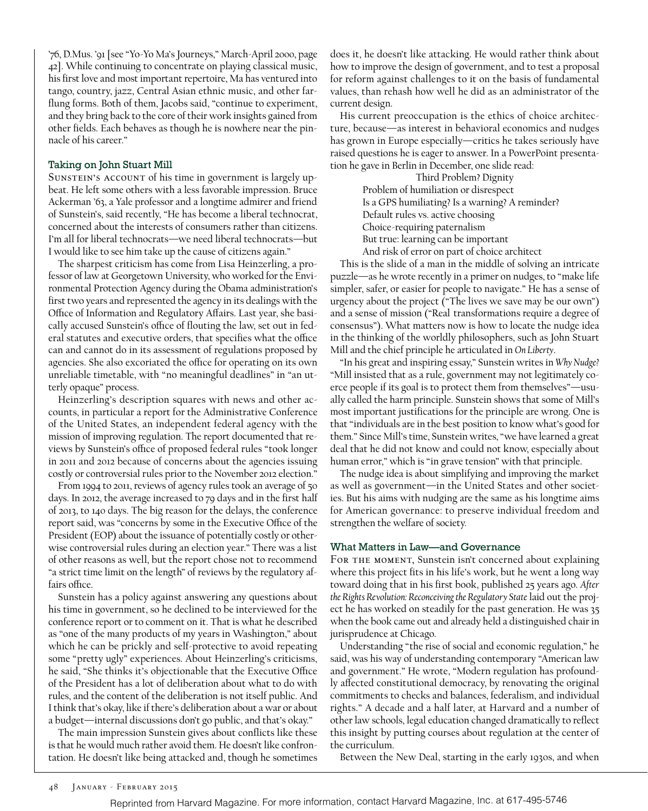'76, D.Mus. '91 [see "Yo-Yo Ma's Journeys," March-April 2000, page 42]. While continuing to concentrate on playing classical music, his first love and most important repertoire, Ma has ventured into tango, country, jazz, Central Asian ethnic music, and other farflung forms. Both of them, Jacobs said, "continue to experiment, and they bring back to the core of their work insights gained from other fields. Each behaves as though he is nowhere near the pinnacle of his career."

### Taking on John Stuart Mill

SUNSTEIN'S ACCOUNT of his time in government is largely upbeat. He left some others with a less favorable impression. Bruce Ackerman '63, a Yale professor and a longtime admirer and friend of Sunstein's, said recently, "He has become a liberal technocrat, concerned about the interests of consumers rather than citizens. I'm all for liberal technocrats—we need liberal technocrats—but I would like to see him take up the cause of citizens again."

The sharpest criticism has come from Lisa Heinzerling, a professor of law at Georgetown University, who worked for the Environmental Protection Agency during the Obama administration's first two years and represented the agency in its dealings with the Office of Information and Regulatory Affairs. Last year, she basically accused Sunstein's office of flouting the law, set out in federal statutes and executive orders, that specifies what the office can and cannot do in its assessment of regulations proposed by agencies. She also excoriated the office for operating on its own unreliable timetable, with "no meaningful deadlines" in "an utterly opaque" process.

Heinzerling's description squares with news and other accounts, in particular a report for the Administrative Conference of the United States, an independent federal agency with the mission of improving regulation. The report documented that reviews by Sunstein's office of proposed federal rules "took longer in 2011 and 2012 because of concerns about the agencies issuing costly or controversial rules prior to the November 2012 election."

From 1994 to 2011, reviews of agency rules took an average of 50 days. In 2012, the average increased to 79 days and in the first half of 2013, to 140 days. The big reason for the delays, the conference report said, was "concerns by some in the Executive Office of the President (EOP) about the issuance of potentially costly or otherwise controversial rules during an election year." There was a list of other reasons as well, but the report chose not to recommend "a strict time limit on the length" of reviews by the regulatory affairs office.

Sunstein has a policy against answering any questions about his time in government, so he declined to be interviewed for the conference report or to comment on it. That is what he described as "one of the many products of my years in Washington," about which he can be prickly and self-protective to avoid repeating some "pretty ugly" experiences. About Heinzerling's criticisms, he said, "She thinks it's objectionable that the Executive Office of the President has a lot of deliberation about what to do with rules, and the content of the deliberation is not itself public. And I think that's okay, like if there's deliberation about a war or about a budget—internal discussions don't go public, and that's okay."

The main impression Sunstein gives about conflicts like these is that he would much rather avoid them. He doesn't like confrontation. He doesn't like being attacked and, though he sometimes does it, he doesn't like attacking. He would rather think about how to improve the design of government, and to test a proposal for reform against challenges to it on the basis of fundamental values, than rehash how well he did as an administrator of the current design.

His current preoccupation is the ethics of choice architecture, because—as interest in behavioral economics and nudges has grown in Europe especially—critics he takes seriously have raised questions he is eager to answer. In a PowerPoint presentation he gave in Berlin in December, one slide read:

> Third Problem? Dignity Problem of humiliation or disrespect Is a GPS humiliating? Is a warning? A reminder? Default rules vs. active choosing Choice-requiring paternalism But true: learning can be important And risk of error on part of choice architect

This is the slide of a man in the middle of solving an intricate puzzle—as he wrote recently in a primer on nudges, to "make life simpler, safer, or easier for people to navigate." He has a sense of urgency about the project ("The lives we save may be our own") and a sense of mission ("Real transformations require a degree of consensus"). What matters now is how to locate the nudge idea in the thinking of the worldly philosophers, such as John Stuart Mill and the chief principle he articulated in *On Liberty*.

"In his great and inspiring essay," Sunstein writes in *Why Nudge?* "Mill insisted that as a rule, government may not legitimately coerce people if its goal is to protect them from themselves"—usually called the harm principle. Sunstein shows that some of Mill's most important justifications for the principle are wrong. One is that "individuals are in the best position to know what's good for them." Since Mill's time, Sunstein writes, "we have learned a great deal that he did not know and could not know, especially about human error," which is "in grave tension" with that principle.

The nudge idea is about simplifying and improving the market as well as government—in the United States and other societies. But his aims with nudging are the same as his longtime aims for American governance: to preserve individual freedom and strengthen the welfare of society.

### What Matters in Law—and Governance

FOR THE MOMENT, Sunstein isn't concerned about explaining where this project fits in his life's work, but he went a long way toward doing that in his first book, published 25 years ago. *After the Rights Revolution: Reconceiving the Regulatory State* laid out the project he has worked on steadily for the past generation. He was 35 when the book came out and already held a distinguished chair in jurisprudence at Chicago.

Understanding "the rise of social and economic regulation," he said, was his way of understanding contemporary "American law and government." He wrote, "Modern regulation has profoundly affected constitutional democracy, by renovating the original commitments to checks and balances, federalism, and individual rights." A decade and a half later, at Harvard and a number of other law schools, legal education changed dramatically to reflect this insight by putting courses about regulation at the center of the curriculum.

Between the New Deal, starting in the early 1930s, and when